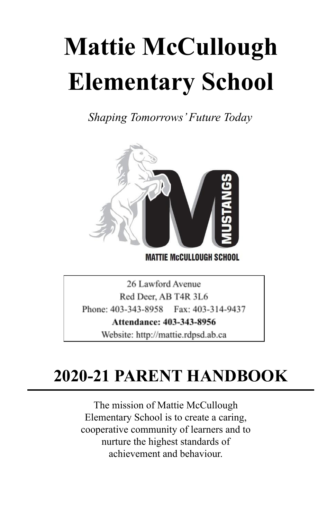# **Mattie McCullough Elementary School**

*Shaping Tomorrows'Future Today*



**MATTIE MCCULLOUGH SCHOOL** 

26 Lawford Avenue Red Deer, AB T4R 3L6 Phone: 403-343-8958 Fax: 403-314-9437 Attendance: 403-343-8956 Website: http://mattie.rdpsd.ab.ca

# **2020-21 PARENT HANDBOOK**

The mission of Mattie McCullough Elementary School is to create a caring, cooperative community of learners and to nurture the highest standards of achievement and behaviour.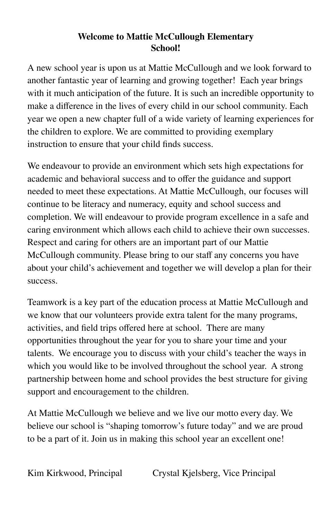### **Welcome to Mattie McCullough Elementary School!**

A new school year is upon us at Mattie McCullough and we look forward to another fantastic year of learning and growing together! Each year brings with it much anticipation of the future. It is such an incredible opportunity to make a difference in the lives of every child in our school community. Each year we open a new chapter full of a wide variety of learning experiences for the children to explore. We are committed to providing exemplary instruction to ensure that your child finds success.

We endeavour to provide an environment which sets high expectations for academic and behavioral success and to offer the guidance and support needed to meet these expectations. At Mattie McCullough, our focuses will continue to be literacy and numeracy, equity and school success and completion. We will endeavour to provide program excellence in a safe and caring environment which allows each child to achieve their own successes. Respect and caring for others are an important part of our Mattie McCullough community. Please bring to our staff any concerns you have about your child's achievement and together we will develop a plan for their success.

Teamwork is a key part of the education process at Mattie McCullough and we know that our volunteers provide extra talent for the many programs, activities, and field trips offered here at school. There are many opportunities throughout the year for you to share your time and your talents. We encourage you to discuss with your child's teacher the ways in which you would like to be involved throughout the school year. A strong partnership between home and school provides the best structure for giving support and encouragement to the children.

At Mattie McCullough we believe and we live our motto every day. We believe our school is "shaping tomorrow's future today" and we are proud to be a part of it. Join us in making this school year an excellent one!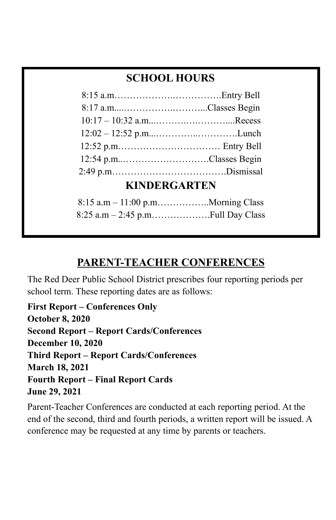## **SCHOOL HOURS**

| $10:17 - 10:32$ a.mRecess    |  |  |
|------------------------------|--|--|
|                              |  |  |
|                              |  |  |
| 12:54 p.mClasses Begin       |  |  |
|                              |  |  |
| <i><b>L'INDEDCA DTEN</b></i> |  |  |

## **KINDERGARTEN**

## **PARENT-TEACHER CONFERENCES**

The Red Deer Public School District prescribes four reporting periods per school term. These reporting dates are as follows:

**First Report – Conferences Only October 8, 2020 Second Report – Report Cards/Conferences December 10, 2020 Third Report – Report Cards/Conferences March 18, 2021 Fourth Report – Final Report Cards June 29, 2021**

Parent-Teacher Conferences are conducted at each reporting period. At the end of the second, third and fourth periods, a written report will be issued. A conference may be requested at any time by parents or teachers.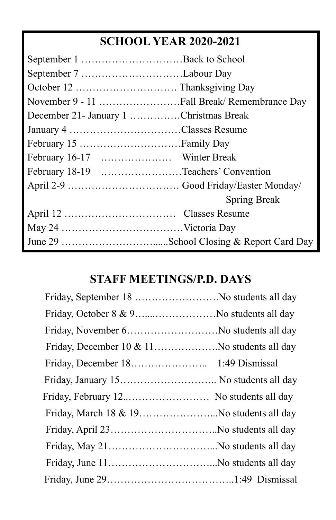# **SCHOOL YEAR 2020-2021**

| December 21 - January 1 Christmas Break |                     |
|-----------------------------------------|---------------------|
|                                         |                     |
|                                         |                     |
|                                         |                     |
| February 18-19 Teachers' Convention     |                     |
|                                         |                     |
|                                         | <b>Spring Break</b> |
|                                         |                     |
|                                         |                     |
|                                         |                     |

# **STAFF MEETINGS/P.D. DAYS**

| Friday, February 12 No students all day  |  |
|------------------------------------------|--|
| Friday, March 18 & 19No students all day |  |
|                                          |  |
|                                          |  |
|                                          |  |
|                                          |  |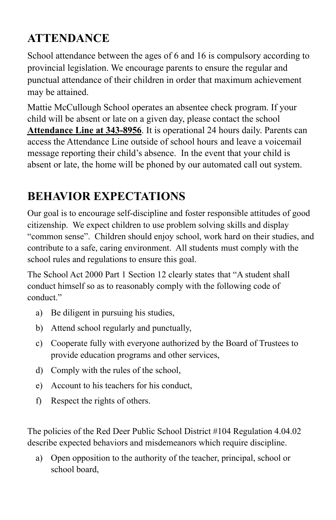# **ATTENDANCE**

School attendance between the ages of 6 and 16 is compulsory according to provincial legislation. We encourage parents to ensure the regular and punctual attendance of their children in order that maximum achievement may be attained.

Mattie McCullough School operates an absentee check program. If your child will be absent or late on a given day, please contact the school **Attendance Line at 343-8956**. It is operational 24 hours daily. Parents can access the Attendance Line outside of school hours and leave a voicemail message reporting their child's absence. In the event that your child is absent or late, the home will be phoned by our automated call out system.

# **BEHAVIOR EXPECTATIONS**

Our goal is to encourage self-discipline and foster responsible attitudes of good citizenship. We expect children to use problem solving skills and display "common sense". Children should enjoy school, work hard on their studies, and contribute to a safe, caring environment. All students must comply with the school rules and regulations to ensure this goal.

The School Act 2000 Part 1 Section 12 clearly states that "A student shall conduct himself so as to reasonably comply with the following code of conduct."

- a) Be diligent in pursuing his studies,
- b) Attend school regularly and punctually,
- c) Cooperate fully with everyone authorized by the Board of Trustees to provide education programs and other services,
- d) Comply with the rules of the school,
- e) Account to his teachers for his conduct,
- f) Respect the rights of others.

The policies of the Red Deer Public School District #104 Regulation 4.04.02 describe expected behaviors and misdemeanors which require discipline.

a) Open opposition to the authority of the teacher, principal, school or school board,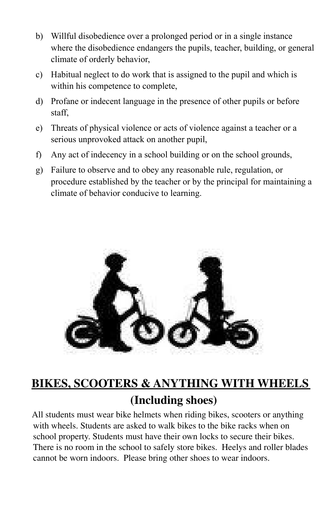- b) Willful disobedience over a prolonged period or in a single instance where the disobedience endangers the pupils, teacher, building, or general climate of orderly behavior,
- c) Habitual neglect to do work that is assigned to the pupil and which is within his competence to complete,
- d) Profane or indecent language in the presence of other pupils or before staff,
- e) Threats of physical violence or acts of violence against a teacher or a serious unprovoked attack on another pupil,
- f) Any act of indecency in a school building or on the school grounds,
- g) Failure to observe and to obey any reasonable rule, regulation, or procedure established by the teacher or by the principal for maintaining a climate of behavior conducive to learning.



# **BIKES, SCOOTERS & ANYTHING WITH WHEELS (Including shoes)**

All students must wear bike helmets when riding bikes, scooters or anything with wheels. Students are asked to walk bikes to the bike racks when on school property. Students must have their own locks to secure their bikes. There is no room in the school to safely store bikes. Heelys and roller blades cannot be worn indoors. Please bring other shoes to wear indoors.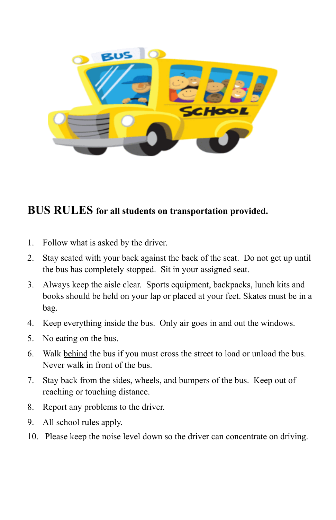

## **BUS RULES for all students on transportation provided.**

- 1. Follow what is asked by the driver.
- 2. Stay seated with your back against the back of the seat. Do not get up until the bus has completely stopped. Sit in your assigned seat.
- 3. Always keep the aisle clear. Sports equipment, backpacks, lunch kits and books should be held on your lap or placed at your feet. Skates must be in a bag.
- 4. Keep everything inside the bus. Only air goes in and out the windows.
- 5. No eating on the bus.
- 6. Walk behind the bus if you must cross the street to load or unload the bus. Never walk in front of the bus.
- 7. Stay back from the sides, wheels, and bumpers of the bus. Keep out of reaching or touching distance.
- 8. Report any problems to the driver.
- 9. All school rules apply.
- 10. Please keep the noise level down so the driver can concentrate on driving.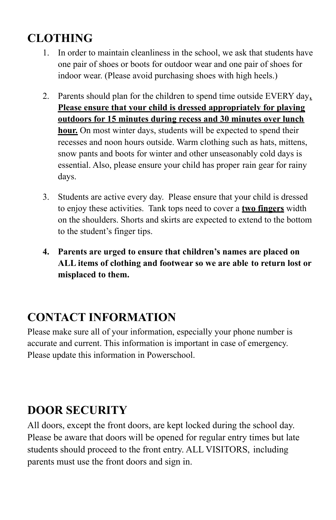# **CLOTHING**

- 1. In order to maintain cleanliness in the school, we ask that students have one pair of shoes or boots for outdoor wear and one pair of shoes for indoor wear. (Please avoid purchasing shoes with high heels.)
- 2. Parents should plan for the children to spend time outside EVERY day**. Please ensure that your child is dressed appropriately for playing outdoors for 15 minutes during recess and 30 minutes over lunch hour.** On most winter days, students will be expected to spend their recesses and noon hours outside. Warm clothing such as hats, mittens, snow pants and boots for winter and other unseasonably cold days is essential. Also, please ensure your child has proper rain gear for rainy days.
- 3. Students are active every day. Please ensure that your child is dressed to enjoy these activities. Tank tops need to cover a **two fingers** width on the shoulders. Shorts and skirts are expected to extend to the bottom to the student's finger tips.
- **4. Parents are urged to ensure that children's names are placed on ALL items of clothing and footwear so we are able to return lost or misplaced to them.**

# **CONTACT INFORMATION**

Please make sure all of your information, especially your phone number is accurate and current. This information is important in case of emergency. Please update this information in Powerschool.

# **DOOR SECURITY**

All doors, except the front doors, are kept locked during the school day. Please be aware that doors will be opened for regular entry times but late students should proceed to the front entry. ALL VISITORS, including parents must use the front doors and sign in.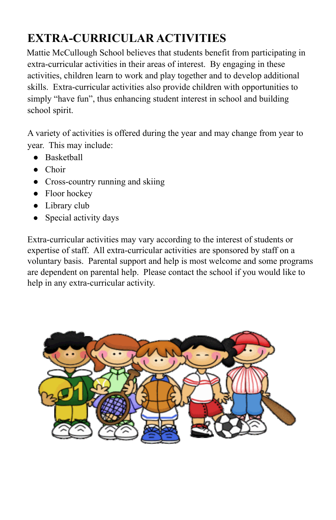# **EXTRA-CURRICULAR ACTIVITIES**

Mattie McCullough School believes that students benefit from participating in extra-curricular activities in their areas of interest. By engaging in these activities, children learn to work and play together and to develop additional skills. Extra-curricular activities also provide children with opportunities to simply "have fun", thus enhancing student interest in school and building school spirit.

A variety of activities is offered during the year and may change from year to year. This may include:

- Basketball
- Choir
- Cross-country running and skiing
- Floor hockey
- Library club
- Special activity days

Extra-curricular activities may vary according to the interest of students or expertise of staff. All extra-curricular activities are sponsored by staff on a voluntary basis. Parental support and help is most welcome and some programs are dependent on parental help. Please contact the school if you would like to help in any extra-curricular activity.

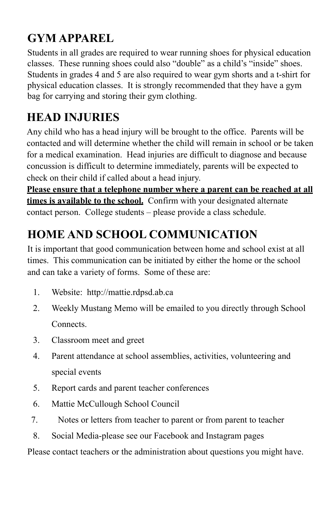# **GYM APPAREL**

Students in all grades are required to wear running shoes for physical education classes. These running shoes could also "double" as a child's "inside" shoes. Students in grades 4 and 5 are also required to wear gym shorts and a t-shirt for physical education classes. It is strongly recommended that they have a gym bag for carrying and storing their gym clothing.

# **HEAD INJURIES**

Any child who has a head injury will be brought to the office. Parents will be contacted and will determine whether the child will remain in school or be taken for a medical examination. Head injuries are difficult to diagnose and because concussion is difficult to determine immediately, parents will be expected to check on their child if called about a head injury.

**Please ensure that a telephone number where a parent can be reached at all times is available to the school.** Confirm with your designated alternate contact person. College students – please provide a class schedule.

# **HOME AND SCHOOL COMMUNICATION**

It is important that good communication between home and school exist at all times. This communication can be initiated by either the home or the school and can take a variety of forms. Some of these are:

- 1. Website: http://mattie.rdpsd.ab.ca
- 2. Weekly Mustang Memo will be emailed to you directly through School **Connects**
- 3. Classroom meet and greet
- 4. Parent attendance at school assemblies, activities, volunteering and special events
- 5. Report cards and parent teacher conferences
- 6. Mattie McCullough School Council
- 7. Notes or letters from teacher to parent or from parent to teacher
- 8. Social Media-please see our Facebook and Instagram pages

Please contact teachers or the administration about questions you might have.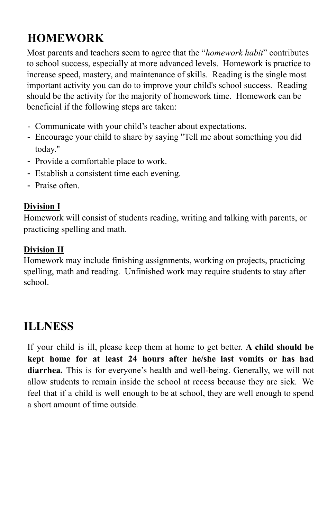# **HOMEWORK**

Most parents and teachers seem to agree that the "*homework habit*" contributes to school success, especially at more advanced levels. Homework is practice to increase speed, mastery, and maintenance of skills. Reading is the single most important activity you can do to improve your child's school success. Reading should be the activity for the majority of homework time. Homework can be beneficial if the following steps are taken:

- Communicate with your child's teacher about expectations.
- Encourage your child to share by saying "Tell me about something you did today."
- Provide a comfortable place to work.
- Establish a consistent time each evening.
- Praise often.

## **Division I**

Homework will consist of students reading, writing and talking with parents, or practicing spelling and math.

### **Division II**

Homework may include finishing assignments, working on projects, practicing spelling, math and reading. Unfinished work may require students to stay after school.

## **ILLNESS**

If your child is ill, please keep them at home to get better. **A child should be kept home for at least 24 hours after he/she last vomits or has had diarrhea.** This is for everyone's health and well-being. Generally, we will not allow students to remain inside the school at recess because they are sick. We feel that if a child is well enough to be at school, they are well enough to spend a short amount of time outside.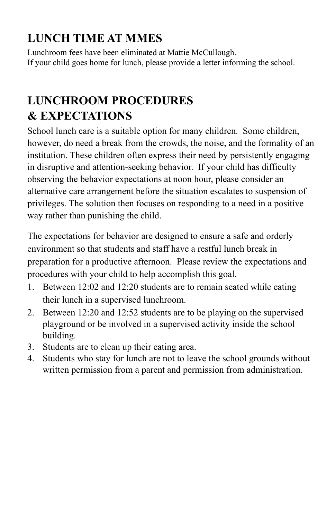# **LUNCH TIME AT MMES**

Lunchroom fees have been eliminated at Mattie McCullough. If your child goes home for lunch, please provide a letter informing the school.

# **LUNCHROOM PROCEDURES & EXPECTATIONS**

School lunch care is a suitable option for many children. Some children, however, do need a break from the crowds, the noise, and the formality of an institution. These children often express their need by persistently engaging in disruptive and attention-seeking behavior. If your child has difficulty observing the behavior expectations at noon hour, please consider an alternative care arrangement before the situation escalates to suspension of privileges. The solution then focuses on responding to a need in a positive way rather than punishing the child.

The expectations for behavior are designed to ensure a safe and orderly environment so that students and staff have a restful lunch break in preparation for a productive afternoon. Please review the expectations and procedures with your child to help accomplish this goal.

- 1. Between 12:02 and 12:20 students are to remain seated while eating their lunch in a supervised lunchroom.
- 2. Between 12:20 and 12:52 students are to be playing on the supervised playground or be involved in a supervised activity inside the school building.
- 3. Students are to clean up their eating area.
- 4. Students who stay for lunch are not to leave the school grounds without written permission from a parent and permission from administration.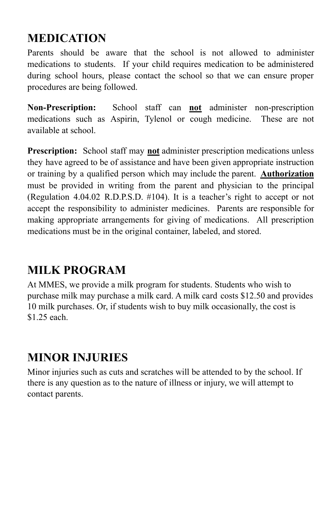# **MEDICATION**

Parents should be aware that the school is not allowed to administer medications to students. If your child requires medication to be administered during school hours, please contact the school so that we can ensure proper procedures are being followed.

**Non-Prescription:** School staff can **not** administer non-prescription medications such as Aspirin, Tylenol or cough medicine. These are not available at school.

**Prescription:** School staff may **not** administer prescription medications unless they have agreed to be of assistance and have been given appropriate instruction or training by a qualified person which may include the parent. **Authorization** must be provided in writing from the parent and physician to the principal (Regulation 4.04.02 R.D.P.S.D. #104). It is a teacher's right to accept or not accept the responsibility to administer medicines. Parents are responsible for making appropriate arrangements for giving of medications. All prescription medications must be in the original container, labeled, and stored.

# **MILK PROGRAM**

At MMES, we provide a milk program for students. Students who wish to purchase milk may purchase a milk card. A milk card costs \$12.50 and provides 10 milk purchases. Or, if students wish to buy milk occasionally, the cost is \$1.25 each.

# **MINOR INJURIES**

Minor injuries such as cuts and scratches will be attended to by the school. If there is any question as to the nature of illness or injury, we will attempt to contact parents.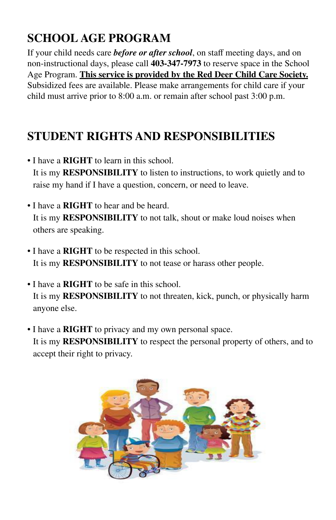# **SCHOOL AGE PROGRAM**

If your child needs care *before or after school*, on staff meeting days, and on non-instructional days, please call **403-347-7973** to reserve space in the School Age Program. **This service is provided by the Red Deer Child Care Society.** Subsidized fees are available. Please make arrangements for child care if your child must arrive prior to 8:00 a.m. or remain after school past 3:00 p.m.

# **STUDENT RIGHTS AND RESPONSIBILITIES**

- I have a **RIGHT** to learn in this school. It is my **RESPONSIBILITY** to listen to instructions, to work quietly and to raise my hand if I have a question, concern, or need to leave.
- I have a **RIGHT** to hear and be heard. It is my **RESPONSIBILITY** to not talk, shout or make loud noises when others are speaking.
- I have a **RIGHT** to be respected in this school. It is my **RESPONSIBILITY** to not tease or harass other people.
- I have a **RIGHT** to be safe in this school. It is my **RESPONSIBILITY** to not threaten, kick, punch, or physically harm anyone else.
- I have a **RIGHT** to privacy and my own personal space. It is my **RESPONSIBILITY** to respect the personal property of others, and to accept their right to privacy.

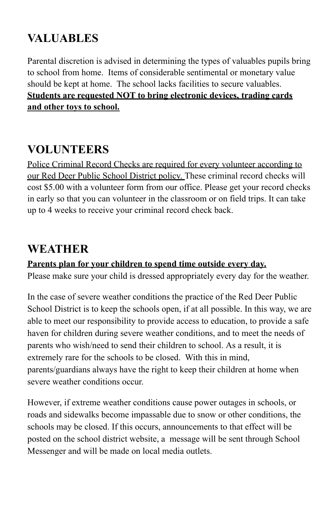# **VALUABLES**

Parental discretion is advised in determining the types of valuables pupils bring to school from home. Items of considerable sentimental or monetary value should be kept at home. The school lacks facilities to secure valuables. **Students are requested NOT to bring electronic devices, trading cards and other toys to school.**

# **VOLUNTEERS**

Police Criminal Record Checks are required for every volunteer according to our Red Deer Public School District policy. These criminal record checks will cost \$5.00 with a volunteer form from our office. Please get your record checks in early so that you can volunteer in the classroom or on field trips. It can take up to 4 weeks to receive your criminal record check back.

## **WEATHER**

## **Parents plan for your children to spend time outside every day.**

Please make sure your child is dressed appropriately every day for the weather.

In the case of severe weather conditions the practice of the Red Deer Public School District is to keep the schools open, if at all possible. In this way, we are able to meet our responsibility to provide access to education, to provide a safe haven for children during severe weather conditions, and to meet the needs of parents who wish/need to send their children to school. As a result, it is extremely rare for the schools to be closed. With this in mind, parents/guardians always have the right to keep their children at home when severe weather conditions occur.

However, if extreme weather conditions cause power outages in schools, or roads and sidewalks become impassable due to snow or other conditions, the schools may be closed. If this occurs, announcements to that effect will be posted on the school district website, a message will be sent through School Messenger and will be made on local media outlets.